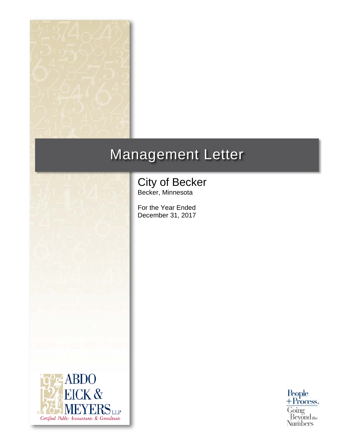

# Management Letter

City of Becker Becker, Minnesota

For the Year Ended December 31, 2017



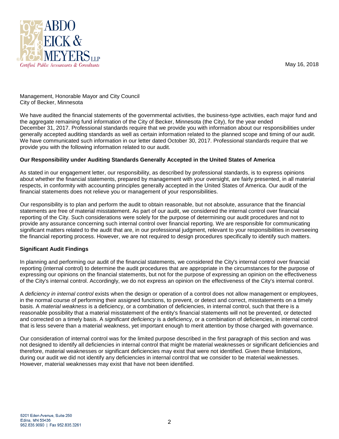May 16, 2018



Management, Honorable Mayor and City Council City of Becker, Minnesota

We have audited the financial statements of the governmental activities, the business-type activities, each major fund and the aggregate remaining fund information of the City of Becker, Minnesota (the City), for the year ended December 31, 2017. Professional standards require that we provide you with information about our responsibilities under generally accepted auditing standards as well as certain information related to the planned scope and timing of our audit. We have communicated such information in our letter dated October 30, 2017. Professional standards require that we provide you with the following information related to our audit.

# **Our Responsibility under Auditing Standards Generally Accepted in the United States of America**

As stated in our engagement letter, our responsibility, as described by professional standards, is to express opinions about whether the financial statements, prepared by management with your oversight, are fairly presented, in all material respects, in conformity with accounting principles generally accepted in the United States of America. Our audit of the financial statements does not relieve you or management of your responsibilities.

Our responsibility is to plan and perform the audit to obtain reasonable, but not absolute, assurance that the financial statements are free of material misstatement. As part of our audit, we considered the internal control over financial reporting of the City. Such considerations were solely for the purpose of determining our audit procedures and not to provide any assurance concerning such internal control over financial reporting. We are responsible for communicating significant matters related to the audit that are, in our professional judgment, relevant to your responsibilities in overseeing the financial reporting process. However, we are not required to design procedures specifically to identify such matters.

# **Significant Audit Findings**

In planning and performing our audit of the financial statements, we considered the City's internal control over financial reporting (internal control) to determine the audit procedures that are appropriate in the circumstances for the purpose of expressing our opinions on the financial statements, but not for the purpose of expressing an opinion on the effectiveness of the City's internal control. Accordingly, we do not express an opinion on the effectiveness of the City's internal control.

A *deficiency in internal control* exists when the design or operation of a control does not allow management or employees, in the normal course of performing their assigned functions, to prevent, or detect and correct, misstatements on a timely basis. A *material weakness* is a deficiency, or a combination of deficiencies, in internal control, such that there is a reasonable possibility that a material misstatement of the entity's financial statements will not be prevented, or detected and corrected on a timely basis. A *significant deficiency* is a deficiency, or a combination of deficiencies, in internal control that is less severe than a material weakness, yet important enough to merit attention by those charged with governance.

Our consideration of internal control was for the limited purpose described in the first paragraph of this section and was not designed to identify all deficiencies in internal control that might be material weaknesses or significant deficiencies and therefore, material weaknesses or significant deficiencies may exist that were not identified. Given these limitations, during our audit we did not identify any deficiencies in internal control that we consider to be material weaknesses. However, material weaknesses may exist that have not been identified.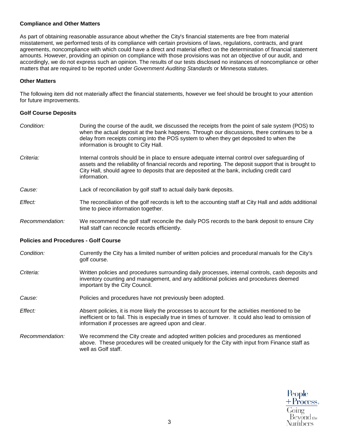#### **Compliance and Other Matters**

As part of obtaining reasonable assurance about whether the City's financial statements are free from material misstatement, we performed tests of its compliance with certain provisions of laws, regulations, contracts, and grant agreements, noncompliance with which could have a direct and material effect on the determination of financial statement amounts. However, providing an opinion on compliance with those provisions was not an objective of our audit, and accordingly, we do not express such an opinion. The results of our tests disclosed no instances of noncompliance or other matters that are required to be reported under *Government Auditing Standards* or Minnesota statutes.

#### **Other Matters**

The following item did not materially affect the financial statements, however we feel should be brought to your attention for future improvements.

#### **Golf Course Deposits**

| Condition:                                   | During the course of the audit, we discussed the receipts from the point of sale system (POS) to<br>when the actual deposit at the bank happens. Through our discussions, there continues to be a<br>delay from receipts coming into the POS system to when they get deposited to when the<br>information is brought to City Hall. |
|----------------------------------------------|------------------------------------------------------------------------------------------------------------------------------------------------------------------------------------------------------------------------------------------------------------------------------------------------------------------------------------|
| Criteria:                                    | Internal controls should be in place to ensure adequate internal control over safeguarding of<br>assets and the reliability of financial records and reporting. The deposit support that is brought to<br>City Hall, should agree to deposits that are deposited at the bank, including credit card<br>information.                |
| Cause:                                       | Lack of reconciliation by golf staff to actual daily bank deposits.                                                                                                                                                                                                                                                                |
| Effect:                                      | The reconciliation of the golf records is left to the accounting staff at City Hall and adds additional<br>time to piece information together.                                                                                                                                                                                     |
| Recommendation:                              | We recommend the golf staff reconcile the daily POS records to the bank deposit to ensure City<br>Hall staff can reconcile records efficiently.                                                                                                                                                                                    |
| <b>Policies and Procedures - Golf Course</b> |                                                                                                                                                                                                                                                                                                                                    |
| Condition:                                   | Currently the City has a limited number of written policies and procedural manuals for the City's<br>golf course.                                                                                                                                                                                                                  |
| Criteria:                                    | Written policies and procedures surrounding daily processes, internal controls, cash deposits and<br>inventory counting and management, and any additional policies and procedures deemed<br>important by the City Council.                                                                                                        |
| Cause:                                       | Policies and procedures have not previously been adopted.                                                                                                                                                                                                                                                                          |
| Effect:                                      | Absent policies, it is more likely the processes to account for the activities mentioned to be<br>inefficient or to fail. This is especially true in times of turnover. It could also lead to omission of                                                                                                                          |

*Recommendation:* We recommend the City create and adopted written policies and procedures as mentioned above. These procedures will be created uniquely for the City with input from Finance staff as well as Golf staff.

information if processes are agreed upon and clear.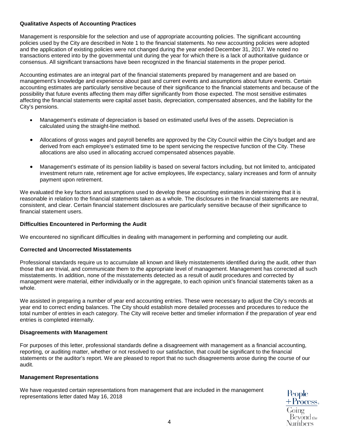## **Qualitative Aspects of Accounting Practices**

Management is responsible for the selection and use of appropriate accounting policies. The significant accounting policies used by the City are described in Note 1 to the financial statements. No new accounting policies were adopted and the application of existing policies were not changed during the year ended December 31, 2017. We noted no transactions entered into by the governmental unit during the year for which there is a lack of authoritative guidance or consensus. All significant transactions have been recognized in the financial statements in the proper period.

Accounting estimates are an integral part of the financial statements prepared by management and are based on management's knowledge and experience about past and current events and assumptions about future events. Certain accounting estimates are particularly sensitive because of their significance to the financial statements and because of the possibility that future events affecting them may differ significantly from those expected. The most sensitive estimates affecting the financial statements were capital asset basis, depreciation, compensated absences, and the liability for the City's pensions.

- Management's estimate of depreciation is based on estimated useful lives of the assets. Depreciation is calculated using the straight-line method.
- Allocations of gross wages and payroll benefits are approved by the City Council within the City's budget and are derived from each employee's estimated time to be spent servicing the respective function of the City. These allocations are also used in allocating accrued compensated absences payable.
- Management's estimate of its pension liability is based on several factors including, but not limited to, anticipated investment return rate, retirement age for active employees, life expectancy, salary increases and form of annuity payment upon retirement.

We evaluated the key factors and assumptions used to develop these accounting estimates in determining that it is reasonable in relation to the financial statements taken as a whole. The disclosures in the financial statements are neutral, consistent, and clear. Certain financial statement disclosures are particularly sensitive because of their significance to financial statement users.

#### **Difficulties Encountered in Performing the Audit**

We encountered no significant difficulties in dealing with management in performing and completing our audit.

#### **Corrected and Uncorrected Misstatements**

Professional standards require us to accumulate all known and likely misstatements identified during the audit, other than those that are trivial, and communicate them to the appropriate level of management. Management has corrected all such misstatements. In addition, none of the misstatements detected as a result of audit procedures and corrected by management were material, either individually or in the aggregate, to each opinion unit's financial statements taken as a whole.

We assisted in preparing a number of year end accounting entries. These were necessary to adjust the City's records at year end to correct ending balances. The City should establish more detailed processes and procedures to reduce the total number of entries in each category. The City will receive better and timelier information if the preparation of year end entries is completed internally.

#### **Disagreements with Management**

For purposes of this letter, professional standards define a disagreement with management as a financial accounting, reporting, or auditing matter, whether or not resolved to our satisfaction, that could be significant to the financial statements or the auditor's report. We are pleased to report that no such disagreements arose during the course of our audit.

#### **Management Representations**

We have requested certain representations from management that are included in the management representations letter dated May 16, 2018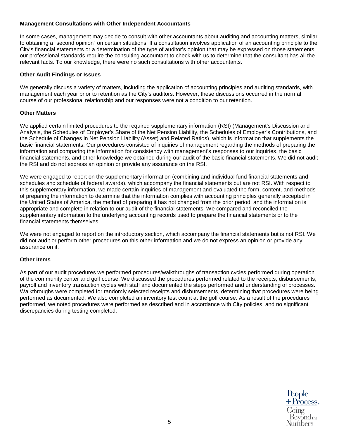### **Management Consultations with Other Independent Accountants**

In some cases, management may decide to consult with other accountants about auditing and accounting matters, similar to obtaining a "second opinion" on certain situations. If a consultation involves application of an accounting principle to the City's financial statements or a determination of the type of auditor's opinion that may be expressed on those statements, our professional standards require the consulting accountant to check with us to determine that the consultant has all the relevant facts. To our knowledge, there were no such consultations with other accountants.

#### **Other Audit Findings or Issues**

We generally discuss a variety of matters, including the application of accounting principles and auditing standards, with management each year prior to retention as the City's auditors. However, these discussions occurred in the normal course of our professional relationship and our responses were not a condition to our retention.

### **Other Matters**

We applied certain limited procedures to the required supplementary information (RSI) (Management's Discussion and Analysis, the Schedules of Employer's Share of the Net Pension Liability, the Schedules of Employer's Contributions, and the Schedule of Changes in Net Pension Liability (Asset) and Related Ratios), which is information that supplements the basic financial statements. Our procedures consisted of inquiries of management regarding the methods of preparing the information and comparing the information for consistency with management's responses to our inquiries, the basic financial statements, and other knowledge we obtained during our audit of the basic financial statements. We did not audit the RSI and do not express an opinion or provide any assurance on the RSI.

We were engaged to report on the supplementary information (combining and individual fund financial statements and schedules and schedule of federal awards), which accompany the financial statements but are not RSI. With respect to this supplementary information, we made certain inquiries of management and evaluated the form, content, and methods of preparing the information to determine that the information complies with accounting principles generally accepted in the United States of America, the method of preparing it has not changed from the prior period, and the information is appropriate and complete in relation to our audit of the financial statements. We compared and reconciled the supplementary information to the underlying accounting records used to prepare the financial statements or to the financial statements themselves.

We were not engaged to report on the introductory section, which accompany the financial statements but is not RSI. We did not audit or perform other procedures on this other information and we do not express an opinion or provide any assurance on it.

#### **Other Items**

As part of our audit procedures we performed procedures/walkthroughs of transaction cycles performed during operation of the community center and golf course. We discussed the procedures performed related to the receipts, disbursements, payroll and inventory transaction cycles with staff and documented the steps performed and understanding of processes. Walkthroughs were completed for randomly selected receipts and disbursements, determining that procedures were being performed as documented. We also completed an inventory test count at the golf course. As a result of the procedures performed, we noted procedures were performed as described and in accordance with City policies, and no significant discrepancies during testing completed.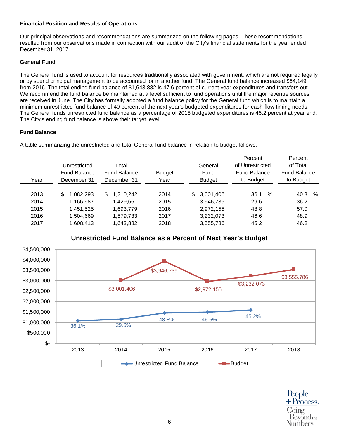# **Financial Position and Results of Operations**

Our principal observations and recommendations are summarized on the following pages. These recommendations resulted from our observations made in connection with our audit of the City's financial statements for the year ended December 31, 2017.

## **General Fund**

The General fund is used to account for resources traditionally associated with government, which are not required legally or by sound principal management to be accounted for in another fund. The General fund balance increased \$64,149 from 2016. The total ending fund balance of \$1,643,882 is 47.6 percent of current year expenditures and transfers out. We recommend the fund balance be maintained at a level sufficient to fund operations until the major revenue sources are received in June. The City has formally adopted a fund balance policy for the General fund which is to maintain a minimum unrestricted fund balance of 40 percent of the next year's budgeted expenditures for cash-flow timing needs. The General funds unrestricted fund balance as a percentage of 2018 budgeted expenditures is 45.2 percent at year end. The City's ending fund balance is above their target level.

# **Fund Balance**

A table summarizing the unrestricted and total General fund balance in relation to budget follows.

| Year | Unrestricted<br><b>Fund Balance</b><br>December 31 | Total<br><b>Fund Balance</b><br>December 31 | <b>Budget</b><br>Year | General<br>Fund<br><b>Budget</b> | Percent<br>of Unrestricted<br><b>Fund Balance</b><br>to Budget | Percent<br>of Total<br><b>Fund Balance</b><br>to Budget |
|------|----------------------------------------------------|---------------------------------------------|-----------------------|----------------------------------|----------------------------------------------------------------|---------------------------------------------------------|
| 2013 | ,082,293<br>S                                      | 1,210,242<br>\$.                            | 2014                  | 3,001,406<br>\$                  | $\%$<br>36.1                                                   | $\%$<br>40.3                                            |
| 2014 | 1,166,987                                          | 1,429,661                                   | 2015                  | 3,946,739                        | 29.6                                                           | 36.2                                                    |
| 2015 | 1.451.525                                          | 1,693,779                                   | 2016                  | 2,972,155                        | 48.8                                                           | 57.0                                                    |
| 2016 | 1,504,669                                          | 1,579,733                                   | 2017                  | 3,232,073                        | 46.6                                                           | 48.9                                                    |
| 2017 | 1,608,413                                          | 1,643,882                                   | 2018                  | 3,555,786                        | 45.2                                                           | 46.2                                                    |



# **Unrestricted Fund Balance as a Percent of Next Year's Budget**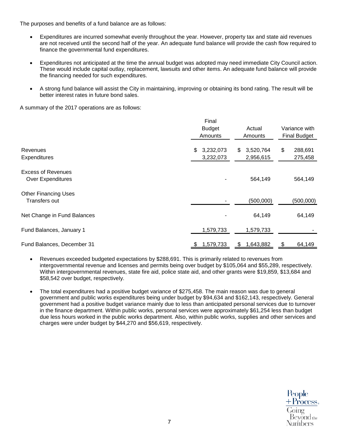The purposes and benefits of a fund balance are as follows:

- Expenditures are incurred somewhat evenly throughout the year. However, property tax and state aid revenues are not received until the second half of the year. An adequate fund balance will provide the cash flow required to finance the governmental fund expenditures.
- Expenditures not anticipated at the time the annual budget was adopted may need immediate City Council action. These would include capital outlay, replacement, lawsuits and other items. An adequate fund balance will provide the financing needed for such expenditures.
- A strong fund balance will assist the City in maintaining, improving or obtaining its bond rating. The result will be better interest rates in future bond sales.

A summary of the 2017 operations are as follows:

|                             | Final           |                 |                     |               |
|-----------------------------|-----------------|-----------------|---------------------|---------------|
|                             | <b>Budget</b>   | Actual          |                     | Variance with |
|                             | Amounts         | Amounts         | <b>Final Budget</b> |               |
|                             |                 |                 |                     |               |
| Revenues                    | \$<br>3,232,073 | 3,520,764<br>\$ | \$                  | 288,691       |
| Expenditures                | 3,232,073       | 2,956,615       |                     | 275,458       |
| <b>Excess of Revenues</b>   |                 |                 |                     |               |
| <b>Over Expenditures</b>    |                 | 564,149         |                     | 564,149       |
| <b>Other Financing Uses</b> |                 |                 |                     |               |
| Transfers out               |                 | (500,000)       |                     | (500,000)     |
| Net Change in Fund Balances |                 | 64,149          |                     | 64,149        |
| Fund Balances, January 1    | 1,579,733       | 1,579,733       |                     |               |
| Fund Balances, December 31  | 1,579,733<br>S. | 1,643,882<br>\$ | \$                  | 64,149        |

- Revenues exceeded budgeted expectations by \$288,691. This is primarily related to revenues from intergovernmental revenue and licenses and permits being over budget by \$105,064 and \$55,289, respectively. Within intergovernmental revenues, state fire aid, police state aid, and other grants were \$19,859, \$13,684 and \$58,542 over budget, respectively.
- The total expenditures had a positive budget variance of \$275,458. The main reason was due to general government and public works expenditures being under budget by \$94,634 and \$162,143, respectively. General government had a positive budget variance mainly due to less than anticipated personal services due to turnover in the finance department. Within public works, personal services were approximately \$61,254 less than budget due less hours worked in the public works department. Also, within public works, supplies and other services and charges were under budget by \$44,270 and \$56,619, respectively.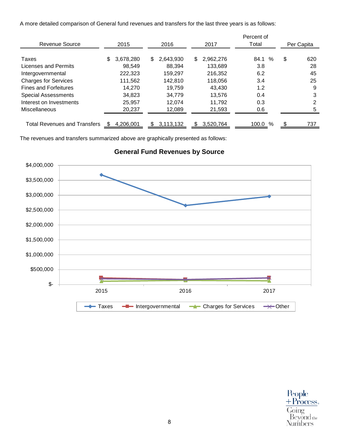A more detailed comparison of General fund revenues and transfers for the last three years is as follows:

|                              |    |           |    |           |    |           | Percent of |   |            |     |
|------------------------------|----|-----------|----|-----------|----|-----------|------------|---|------------|-----|
| <b>Revenue Source</b>        |    | 2015      |    | 2016      |    | 2017      | Total      |   | Per Capita |     |
| Taxes                        | \$ | 3,678,280 | S. | 2,643,930 | \$ | 2,962,276 | 84.1 %     |   | \$         | 620 |
| Licenses and Permits         |    | 98,549    |    | 88,394    |    | 133,689   | 3.8        |   |            | 28  |
| Intergovernmental            |    | 222,323   |    | 159,297   |    | 216,352   | 6.2        |   |            | 45  |
| <b>Charges for Services</b>  |    | 111,562   |    | 142,810   |    | 118.056   | 3.4        |   |            | 25  |
| <b>Fines and Forfeitures</b> |    | 14,270    |    | 19,759    |    | 43.430    | 1.2        |   |            | 9   |
| <b>Special Assessments</b>   |    | 34.823    |    | 34.779    |    | 13.576    | 0.4        |   |            | 3   |
| Interest on Investments      |    | 25,957    |    | 12.074    |    | 11,792    | 0.3        |   |            | 2   |
| Miscellaneous                |    | 20,237    |    | 12,089    |    | 21,593    | 0.6        |   |            | 5   |
| Total Revenues and Transfers | S  | 4,206,001 | S. | 3,113,132 |    | 3.520.764 | 100.0      | % | \$         | 737 |

The revenues and transfers summarized above are graphically presented as follows:



# **General Fund Revenues by Source**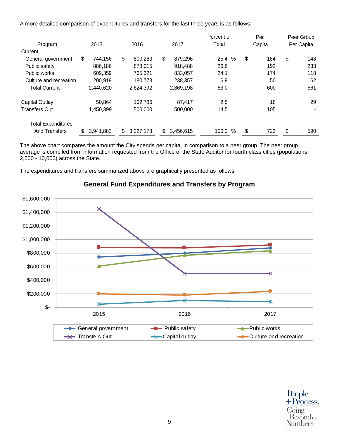A more detailed comparison of expenditures and transfers for the last three years is as follows:

|                           |               |               |               | Percent of    | Per       | Peer Group |
|---------------------------|---------------|---------------|---------------|---------------|-----------|------------|
| Program                   | 2015          | 2016          | 2017          | Total         | Capita    | Per Capita |
| Current                   |               |               |               |               |           |            |
| General government        | \$<br>744.156 | \$<br>800,283 | \$<br>879,296 | $\%$<br>25.4  | \$<br>184 | \$<br>148  |
| Public safety             | 886,186       | 878,015       | 918,488       | 26.6          | 192       | 233        |
| Public works              | 609,359       | 765,321       | 833,057       | 24.1          | 174       | 118        |
| Culture and recreation    | 200,919       | 180,773       | 238,357       | 6.9           | 50        | 62         |
| <b>Total Current</b>      | 2,440,620     | 2,624,392     | 2,869,198     | 83.0          | 600       | 561        |
| Capital Outlay            | 50,864        | 102,786       | 87.417        | 2.5           | 18        | 29         |
| <b>Transfers Out</b>      | 1,450,399     | 500,000       | 500,000       | 14.5          | 105       |            |
| <b>Total Expenditures</b> |               |               |               |               |           |            |
| And Transfers             | 3,941,883     | 3,227,178     | 3,456,615     | 100.0<br>$\%$ | 723       | 590        |

The above chart compares the amount the City spends per capita, in comparison to a peer group. The peer group average is compiled from information requested from the Office of the State Auditor for fourth class cities (populations 2,500 - 10,000) across the State.

The expenditures and transfers summarized above are graphically presented as follows:



# **General Fund Expenditures and Transfers by Program**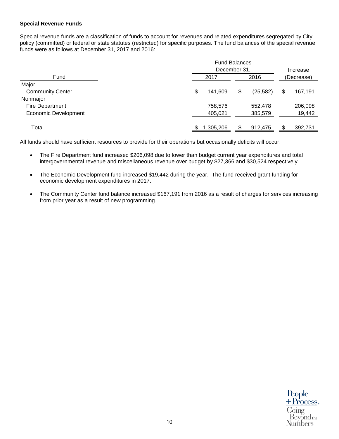# **Special Revenue Funds**

Special revenue funds are a classification of funds to account for revenues and related expenditures segregated by City policy (committed) or federal or state statutes (restricted) for specific purposes. The fund balances of the special revenue funds were as follows at December 31, 2017 and 2016:

|                         | <b>Fund Balances</b> |          |           |    |            |  |  |  |  |
|-------------------------|----------------------|----------|-----------|----|------------|--|--|--|--|
|                         | December 31,         | Increase |           |    |            |  |  |  |  |
| Fund                    | 2017                 | 2016     |           |    | (Decrease) |  |  |  |  |
| Major                   |                      |          |           |    |            |  |  |  |  |
| <b>Community Center</b> | \$<br>141.609        | \$       | (25, 582) | \$ | 167,191    |  |  |  |  |
| Nonmajor                |                      |          |           |    |            |  |  |  |  |
| <b>Fire Department</b>  | 758,576              |          | 552,478   |    | 206,098    |  |  |  |  |
| Economic Development    | 405,021              |          | 385,579   |    | 19,442     |  |  |  |  |
|                         |                      |          |           |    |            |  |  |  |  |
| Total                   | 1,305,206            |          | 912,475   | \$ | 392,731    |  |  |  |  |

All funds should have sufficient resources to provide for their operations but occasionally deficits will occur.

- The Fire Department fund increased \$206,098 due to lower than budget current year expenditures and total intergovernmental revenue and miscellaneous revenue over budget by \$27,366 and \$30,524 respectively.
- The Economic Development fund increased \$19,442 during the year. The fund received grant funding for economic development expenditures in 2017.
- The Community Center fund balance increased \$167,191 from 2016 as a result of charges for services increasing from prior year as a result of new programming.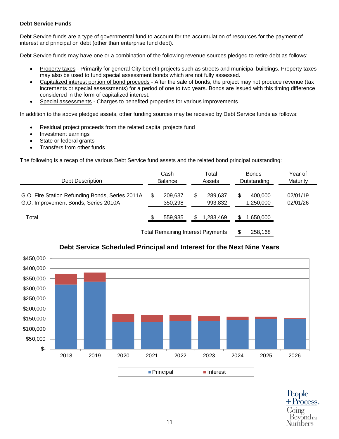# **Debt Service Funds**

Debt Service funds are a type of governmental fund to account for the accumulation of resources for the payment of interest and principal on debt (other than enterprise fund debt).

Debt Service funds may have one or a combination of the following revenue sources pledged to retire debt as follows:

- Property taxes Primarily for general City benefit projects such as streets and municipal buildings. Property taxes may also be used to fund special assessment bonds which are not fully assessed.
- Capitalized interest portion of bond proceeds After the sale of bonds, the project may not produce revenue (tax increments or special assessments) for a period of one to two years. Bonds are issued with this timing difference considered in the form of capitalized interest.
- Special assessments Charges to benefited properties for various improvements.

In addition to the above pledged assets, other funding sources may be received by Debt Service funds as follows:

- Residual project proceeds from the related capital projects fund
- Investment earnings
- State or federal grants
- Transfers from other funds

The following is a recap of the various Debt Service fund assets and the related bond principal outstanding:

| Debt Description                                                                        |   | Cash<br><b>Balance</b> |   | Total<br>Assets    | <b>Bonds</b><br>Outstanding | Year of<br>Maturity  |
|-----------------------------------------------------------------------------------------|---|------------------------|---|--------------------|-----------------------------|----------------------|
| G.O. Fire Station Refunding Bonds, Series 2011A<br>G.O. Improvement Bonds, Series 2010A | S | 209.637<br>350,298     | S | 289.637<br>993,832 | 400.000<br>1,250,000        | 02/01/19<br>02/01/26 |
| Total                                                                                   |   | 559,935                |   | 1,283,469          | ,650,000                    |                      |

Total Remaining Interest Payments \$ 258,168

**Debt Service Scheduled Principal and Interest for the Next Nine Years**



People  $+$  Process.  $Going$  $\operatorname{Bevond}$  the Numbers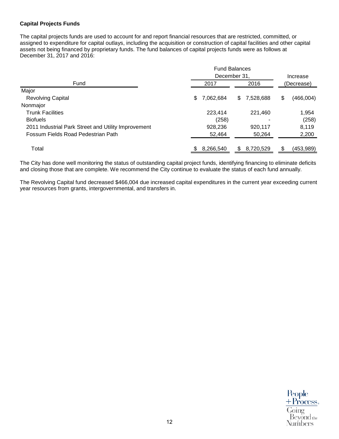# **Capital Projects Funds**

The capital projects funds are used to account for and report financial resources that are restricted, committed, or assigned to expenditure for capital outlays, including the acquisition or construction of capital facilities and other capital assets not being financed by proprietary funds. The fund balances of capital projects funds were as follows at December 31, 2017 and 2016:

|                                                     | <b>Fund Balances</b> |                  |                  |
|-----------------------------------------------------|----------------------|------------------|------------------|
|                                                     |                      | December 31,     | Increase         |
| Fund                                                | 2017                 | 2016             | (Decrease)       |
| Major                                               |                      |                  |                  |
| <b>Revolving Capital</b>                            | 7,062,684<br>\$      | 7,528,688<br>\$. | \$<br>(466,004)  |
| Nonmajor                                            |                      |                  |                  |
| <b>Trunk Facilities</b>                             | 223.414              | 221,460          | 1,954            |
| <b>Biofuels</b>                                     | (258)                |                  | (258)            |
| 2011 Industrial Park Street and Utility Improvement | 928,236              | 920,117          | 8,119            |
| Fossum Fields Road Pedestrian Path                  | 52,464               | 50,264           | 2,200            |
| Total                                               | 8,266,540            | 8,720,529<br>S   | (453,989)<br>\$. |

The City has done well monitoring the status of outstanding capital project funds, identifying financing to eliminate deficits and closing those that are complete. We recommend the City continue to evaluate the status of each fund annually.

The Revolving Capital fund decreased \$466,004 due increased capital expenditures in the current year exceeding current year resources from grants, intergovernmental, and transfers in.

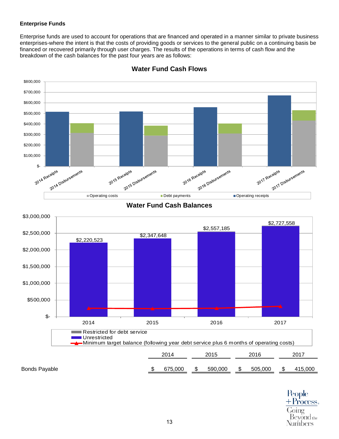# **Enterprise Funds**

Enterprise funds are used to account for operations that are financed and operated in a manner similar to private business enterprises-where the intent is that the costs of providing goods or services to the general public on a continuing basis be financed or recovered primarily through user charges. The results of the operations in terms of cash flow and the breakdown of the cash balances for the past four years are as follows:



**Water Fund Cash Flows** 

# **Water Fund Cash Balances**



People<br>+Process. Going  $\operatorname{Bevond}$ <sub>the</sub> Numbers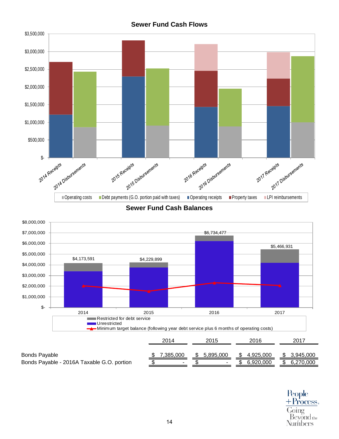

# **Sewer Fund Cash Balances**

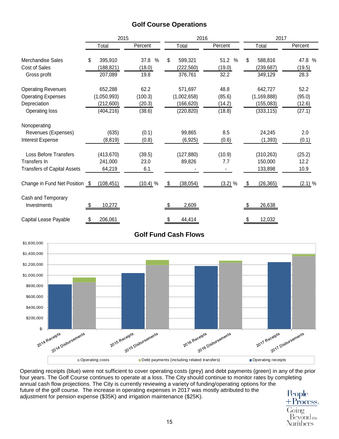# **Golf Course Operations**

|                                    |                        | 2015         | 2016          |           | 2017            |           |  |
|------------------------------------|------------------------|--------------|---------------|-----------|-----------------|-----------|--|
|                                    | Total                  | Percent      | Total         | Percent   | Total           | Percent   |  |
| <b>Merchandise Sales</b>           | 395,910<br>\$          | 37.8<br>$\%$ | \$<br>599,321 | 51.2 %    | \$<br>588,816   | 47.8 %    |  |
| Cost of Sales                      | (188, 821)             | (18.0)       | (222, 560)    | (19.0)    | (239, 687)      | (19.5)    |  |
| Gross profit                       | 207,089                | 19.8         | 376,761       | 32.2      | 349,129         | 28.3      |  |
| <b>Operating Revenues</b>          | 652,288                | 62.2         | 571,697       | 48.8      | 642,727         | 52.2      |  |
| <b>Operating Expenses</b>          | (1,050,993)            | (100.3)      | (1,002,658)   | (85.6)    | (1, 169, 888)   | (95.0)    |  |
| Depreciation                       | (212,600)              | (20.3)       | (166, 620)    | (14.2)    | (155,083)       | (12.6)    |  |
| Operating loss                     | (404, 216)             | (38.6)       | (220, 820)    | (18.8)    | (333, 115)      | (27.1)    |  |
| Nonoperating                       |                        |              |               |           |                 |           |  |
| Revenues (Expenses)                | (635)                  | (0.1)        | 99,865        | 8.5       | 24,245          | 2.0       |  |
| Interest Expense                   | (8, 819)               | (0.8)        | (6, 925)      | (0.6)     | (1, 393)        | (0.1)     |  |
| <b>Loss Before Transfers</b>       | (413, 670)             | (39.5)       | (127, 880)    | (10.9)    | (310, 263)      | (25.2)    |  |
| Transfers In                       | 241,000                | 23.0         | 89,826        | 7.7       | 150,000         | 12.2      |  |
| <b>Transfers of Capital Assets</b> | 64,219                 | 6.1          |               |           | 133,898         | 10.9      |  |
| Change in Fund Net Position \$     | (108, 451)             | $(10.4)$ %   | (38,054)<br>S | $(3.2)$ % | (26, 365)<br>-S | $(2.1)$ % |  |
| Cash and Temporary                 |                        |              |               |           |                 |           |  |
| Investments                        | 10,272<br><sup>8</sup> |              | 2,609         |           | 26,638          |           |  |
| Capital Lease Payable              | 206,061<br>\$          |              | 44,414<br>\$  |           | 12,032<br>\$    |           |  |

# **Golf Fund Cash Flows**



Operating receipts (blue) were not sufficient to cover operating costs (grey) and debt payments (green) in any of the prior four years. The Golf Course continues to operate at a loss. The City should continue to monitor rates by completing annual cash flow projections. The City is currently reviewing a variety of funding/operating options for the future of the golf course. The increase in operating expenses in 2017 was mostly attributed to the People adjustment for pension expense (\$35K) and irrigation maintenance (\$25K).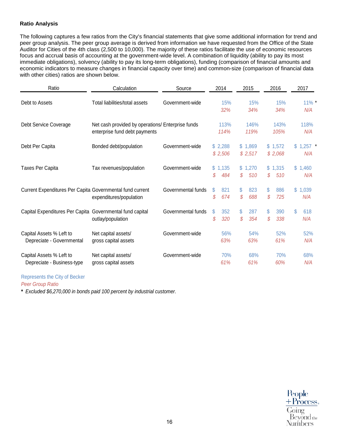# **Ratio Analysis**

The following captures a few ratios from the City's financial statements that give some additional information for trend and peer group analysis. The peer group average is derived from information we have requested from the Office of the State Auditor for Cities of the 4th class (2,500 to 10,000). The majority of these ratios facilitate the use of economic resources focus and accrual basis of accounting at the government-wide level. A combination of liquidity (ability to pay its most immediate obligations), solvency (ability to pay its long-term obligations), funding (comparison of financial amounts and economic indicators to measure changes in financial capacity over time) and common-size (comparison of financial data with other cities) ratios are shown below.

| Ratio                                                     | Calculation                                                                        | Source             | 2014                    | 2015                   | 2016                   | 2017               |
|-----------------------------------------------------------|------------------------------------------------------------------------------------|--------------------|-------------------------|------------------------|------------------------|--------------------|
| Debt to Assets                                            | Total liabilities/total assets                                                     | Government-wide    | 15%<br>32%              | 15%<br>34%             | 15%<br>34%             | 11% *<br>N/A       |
| Debt Service Coverage                                     | Net cash provided by operations/ Enterprise funds<br>enterprise fund debt payments |                    | 113%<br>114%            | 146%<br>119%           | 143%<br>105%           | 118%<br>N/A        |
| Debt Per Capita                                           | Bonded debt/population                                                             | Government-wide    | \$2,288<br>\$2,506      | \$1,869<br>\$2,517     | \$1,572<br>\$2,068     | $$1,257$ *<br>N/A  |
| <b>Taxes Per Capita</b>                                   | Tax revenues/population                                                            | Government-wide    | \$1,135<br>\$<br>484    | \$1,270<br>\$<br>510   | \$1,315<br>\$<br>510   | \$1,460<br>N/A     |
| Current Expenditures Per Capita Governmental fund current | expenditures/population                                                            | Governmental funds | \$<br>821<br>\$<br>674  | \$<br>823<br>\$<br>688 | \$<br>886<br>\$<br>725 | \$<br>1,039<br>N/A |
| Capital Expenditures Per Capita Governmental fund capital | outlay/population                                                                  | Governmental funds | \$.<br>352<br>\$<br>320 | \$<br>287<br>\$<br>354 | \$<br>390<br>\$<br>338 | \$<br>618<br>N/A   |
| Capital Assets % Left to<br>Depreciate - Governmental     | Net capital assets/<br>gross capital assets                                        | Government-wide    | 56%<br>63%              | 54%<br>63%             | 52%<br>61%             | 52%<br>N/A         |
| Capital Assets % Left to<br>Depreciate - Business-type    | Net capital assets/<br>gross capital assets                                        | Government-wide    | 70%<br>61%              | 68%<br>61%             | 70%<br>60%             | 68%<br>N/A         |

Represents the City of Becker

*Peer Group Ratio*

**\*** *Excluded \$6,270,000 in bonds paid 100 percent by industrial customer.*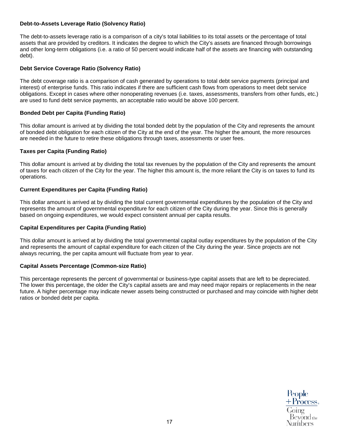## **Debt-to-Assets Leverage Ratio (Solvency Ratio)**

The debt-to-assets leverage ratio is a comparison of a city's total liabilities to its total assets or the percentage of total assets that are provided by creditors. It indicates the degree to which the City's assets are financed through borrowings and other long-term obligations (i.e. a ratio of 50 percent would indicate half of the assets are financing with outstanding debt).

### **Debt Service Coverage Ratio (Solvency Ratio)**

The debt coverage ratio is a comparison of cash generated by operations to total debt service payments (principal and interest) of enterprise funds. This ratio indicates if there are sufficient cash flows from operations to meet debt service obligations. Except in cases where other nonoperating revenues (i.e. taxes, assessments, transfers from other funds, etc.) are used to fund debt service payments, an acceptable ratio would be above 100 percent.

#### **Bonded Debt per Capita (Funding Ratio)**

This dollar amount is arrived at by dividing the total bonded debt by the population of the City and represents the amount of bonded debt obligation for each citizen of the City at the end of the year. The higher the amount, the more resources are needed in the future to retire these obligations through taxes, assessments or user fees.

### **Taxes per Capita (Funding Ratio)**

This dollar amount is arrived at by dividing the total tax revenues by the population of the City and represents the amount of taxes for each citizen of the City for the year. The higher this amount is, the more reliant the City is on taxes to fund its operations.

### **Current Expenditures per Capita (Funding Ratio)**

This dollar amount is arrived at by dividing the total current governmental expenditures by the population of the City and represents the amount of governmental expenditure for each citizen of the City during the year. Since this is generally based on ongoing expenditures, we would expect consistent annual per capita results.

# **Capital Expenditures per Capita (Funding Ratio)**

This dollar amount is arrived at by dividing the total governmental capital outlay expenditures by the population of the City and represents the amount of capital expenditure for each citizen of the City during the year. Since projects are not always recurring, the per capita amount will fluctuate from year to year.

#### **Capital Assets Percentage (Common-size Ratio)**

This percentage represents the percent of governmental or business-type capital assets that are left to be depreciated. The lower this percentage, the older the City's capital assets are and may need major repairs or replacements in the near future. A higher percentage may indicate newer assets being constructed or purchased and may coincide with higher debt ratios or bonded debt per capita.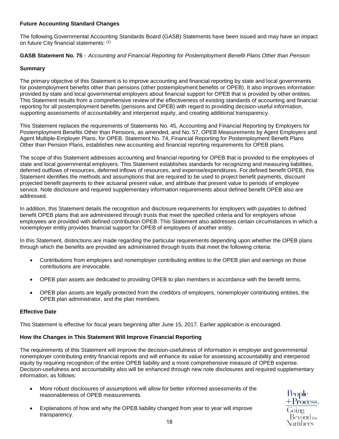# **Future Accounting Standard Changes**

The following Governmental Accounting Standards Board (GASB) Statements have been issued and may have an impact on future City financial statements: (1)

#### **GASB Statement No. 75** - *Accounting and Financial Reporting for Postemployment Benefit Plans Other than Pension*

### **Summary**

The primary objective of this Statement is to improve accounting and financial reporting by state and local governments for postemployment benefits other than pensions (other postemployment benefits or OPEB). It also improves information provided by state and local governmental employers about financial support for OPEB that is provided by other entities. This Statement results from a comprehensive review of the effectiveness of existing standards of accounting and financial reporting for all postemployment benefits (pensions and OPEB) with regard to providing decision-useful information, supporting assessments of accountability and interperiod equity, and creating additional transparency.

This Statement replaces the requirements of Statements No. 45, Accounting and Financial Reporting by Employers for Postemployment Benefits Other than Pensions, as amended, and No. 57, OPEB Measurements by Agent Employers and Agent Multiple-Employer Plans, for OPEB. Statement No. 74, Financial Reporting for Postemployment Benefit Plans Other than Pension Plans, establishes new accounting and financial reporting requirements for OPEB plans.

The scope of this Statement addresses accounting and financial reporting for OPEB that is provided to the employees of state and local governmental employers. This Statement establishes standards for recognizing and measuring liabilities, deferred outflows of resources, deferred inflows of resources, and expense/expenditures. For defined benefit OPEB, this Statement identifies the methods and assumptions that are required to be used to project benefit payments, discount projected benefit payments to their actuarial present value, and attribute that present value to periods of employee service. Note disclosure and required supplementary information requirements about defined benefit OPEB also are addressed.

In addition, this Statement details the recognition and disclosure requirements for employers with payables to defined benefit OPEB plans that are administered through trusts that meet the specified criteria and for employers whose employees are provided with defined contribution OPEB. This Statement also addresses certain circumstances in which a nonemployer entity provides financial support for OPEB of employees of another entity.

In this Statement, distinctions are made regarding the particular requirements depending upon whether the OPEB plans through which the benefits are provided are administered through trusts that meet the following criteria:

- Contributions from employers and nonemployer contributing entities to the OPEB plan and earnings on those contributions are irrevocable.
- OPEB plan assets are dedicated to providing OPEB to plan members in accordance with the benefit terms.
- OPEB plan assets are legally protected from the creditors of employers, nonemployer contributing entities, the OPEB plan administrator, and the plan members.

#### **Effective Date**

This Statement is effective for fiscal years beginning after June 15, 2017. Earlier application is encouraged.

# **How the Changes in This Statement Will Improve Financial Reporting**

The requirements of this Statement will improve the decision-usefulness of information in employer and governmental nonemployer contributing entity financial reports and will enhance its value for assessing accountability and interperiod equity by requiring recognition of the entire OPEB liability and a more comprehensive measure of OPEB expense. Decision-usefulness and accountability also will be enhanced through new note disclosures and required supplementary information, as follows:

- More robust disclosures of assumptions will allow for better informed assessments of the reasonableness of OPEB measurements.
- Explanations of how and why the OPEB liability changed from year to year will improve transparency.

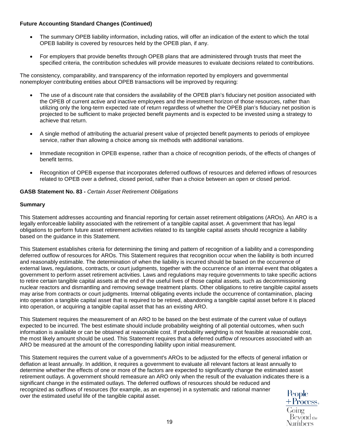- The summary OPEB liability information, including ratios, will offer an indication of the extent to which the total OPEB liability is covered by resources held by the OPEB plan, if any.
- For employers that provide benefits through OPEB plans that are administered through trusts that meet the specified criteria, the contribution schedules will provide measures to evaluate decisions related to contributions.

The consistency, comparability, and transparency of the information reported by employers and governmental nonemployer contributing entities about OPEB transactions will be improved by requiring:

- The use of a discount rate that considers the availability of the OPEB plan's fiduciary net position associated with the OPEB of current active and inactive employees and the investment horizon of those resources, rather than utilizing only the long-term expected rate of return regardless of whether the OPEB plan's fiduciary net position is projected to be sufficient to make projected benefit payments and is expected to be invested using a strategy to achieve that return.
- A single method of attributing the actuarial present value of projected benefit payments to periods of employee service, rather than allowing a choice among six methods with additional variations.
- Immediate recognition in OPEB expense, rather than a choice of recognition periods, of the effects of changes of benefit terms.
- Recognition of OPEB expense that incorporates deferred outflows of resources and deferred inflows of resources related to OPEB over a defined, closed period, rather than a choice between an open or closed period.

### **GASB Statement No. 83 -** *Certain Asset Retirement Obligations*

### **Summary**

This Statement addresses accounting and financial reporting for certain asset retirement obligations (AROs). An ARO is a legally enforceable liability associated with the retirement of a tangible capital asset. A government that has legal obligations to perform future asset retirement activities related to its tangible capital assets should recognize a liability based on the guidance in this Statement.

This Statement establishes criteria for determining the timing and pattern of recognition of a liability and a corresponding deferred outflow of resources for AROs. This Statement requires that recognition occur when the liability is both incurred and reasonably estimable. The determination of when the liability is incurred should be based on the occurrence of external laws, regulations, contracts, or court judgments, together with the occurrence of an internal event that obligates a government to perform asset retirement activities. Laws and regulations may require governments to take specific actions to retire certain tangible capital assets at the end of the useful lives of those capital assets, such as decommissioning nuclear reactors and dismantling and removing sewage treatment plants. Other obligations to retire tangible capital assets may arise from contracts or court judgments. Internal obligating events include the occurrence of contamination, placing into operation a tangible capital asset that is required to be retired, abandoning a tangible capital asset before it is placed into operation, or acquiring a tangible capital asset that has an existing ARO.

This Statement requires the measurement of an ARO to be based on the best estimate of the current value of outlays expected to be incurred. The best estimate should include probability weighting of all potential outcomes, when such information is available or can be obtained at reasonable cost. If probability weighting is not feasible at reasonable cost, the most likely amount should be used. This Statement requires that a deferred outflow of resources associated with an ARO be measured at the amount of the corresponding liability upon initial measurement.

This Statement requires the current value of a government's AROs to be adjusted for the effects of general inflation or deflation at least annually. In addition, it requires a government to evaluate all relevant factors at least annually to determine whether the effects of one or more of the factors are expected to significantly change the estimated asset retirement outlays. A government should remeasure an ARO only when the result of the evaluation indicates there is a significant change in the estimated outlays. The deferred outflows of resources should be reduced and recognized as outflows of resources (for example, as an expense) in a systematic and rational manner People over the estimated useful life of the tangible capital asset.

+ Process. <del>,</del>oing Bevond<sub>the</sub> Numbers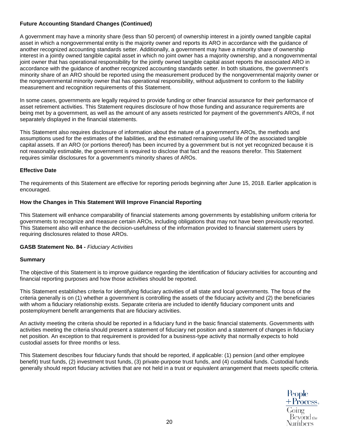A government may have a minority share (less than 50 percent) of ownership interest in a jointly owned tangible capital asset in which a nongovernmental entity is the majority owner and reports its ARO in accordance with the guidance of another recognized accounting standards setter. Additionally, a government may have a minority share of ownership interest in a jointly owned tangible capital asset in which no joint owner has a majority ownership, and a nongovernmental joint owner that has operational responsibility for the jointly owned tangible capital asset reports the associated ARO in accordance with the guidance of another recognized accounting standards setter. In both situations, the government's minority share of an ARO should be reported using the measurement produced by the nongovernmental majority owner or the nongovernmental minority owner that has operational responsibility, without adjustment to conform to the liability measurement and recognition requirements of this Statement.

In some cases, governments are legally required to provide funding or other financial assurance for their performance of asset retirement activities. This Statement requires disclosure of how those funding and assurance requirements are being met by a government, as well as the amount of any assets restricted for payment of the government's AROs, if not separately displayed in the financial statements.

This Statement also requires disclosure of information about the nature of a government's AROs, the methods and assumptions used for the estimates of the liabilities, and the estimated remaining useful life of the associated tangible capital assets. If an ARO (or portions thereof) has been incurred by a government but is not yet recognized because it is not reasonably estimable, the government is required to disclose that fact and the reasons therefor. This Statement requires similar disclosures for a government's minority shares of AROs.

# **Effective Date**

The requirements of this Statement are effective for reporting periods beginning after June 15, 2018. Earlier application is encouraged.

# **How the Changes in This Statement Will Improve Financial Reporting**

This Statement will enhance comparability of financial statements among governments by establishing uniform criteria for governments to recognize and measure certain AROs, including obligations that may not have been previously reported. This Statement also will enhance the decision-usefulness of the information provided to financial statement users by requiring disclosures related to those AROs.

# **GASB Statement No. 84 -** *Fiduciary Activities*

# **Summary**

The objective of this Statement is to improve guidance regarding the identification of fiduciary activities for accounting and financial reporting purposes and how those activities should be reported.

This Statement establishes criteria for identifying fiduciary activities of all state and local governments. The focus of the criteria generally is on (1) whether a government is controlling the assets of the fiduciary activity and (2) the beneficiaries with whom a fiduciary relationship exists. Separate criteria are included to identify fiduciary component units and postemployment benefit arrangements that are fiduciary activities.

An activity meeting the criteria should be reported in a fiduciary fund in the basic financial statements. Governments with activities meeting the criteria should present a statement of fiduciary net position and a statement of changes in fiduciary net position. An exception to that requirement is provided for a business-type activity that normally expects to hold custodial assets for three months or less.

This Statement describes four fiduciary funds that should be reported, if applicable: (1) pension (and other employee benefit) trust funds, (2) investment trust funds, (3) private-purpose trust funds, and (4) custodial funds. Custodial funds generally should report fiduciary activities that are not held in a trust or equivalent arrangement that meets specific criteria.

> People - Process.  $\frac{1}{2}$ oing Bevond<sub>the</sub> Numbers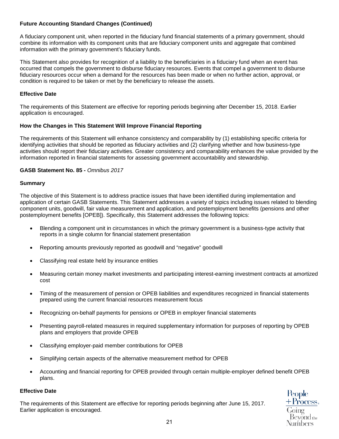A fiduciary component unit, when reported in the fiduciary fund financial statements of a primary government, should combine its information with its component units that are fiduciary component units and aggregate that combined information with the primary government's fiduciary funds.

This Statement also provides for recognition of a liability to the beneficiaries in a fiduciary fund when an event has occurred that compels the government to disburse fiduciary resources. Events that compel a government to disburse fiduciary resources occur when a demand for the resources has been made or when no further action, approval, or condition is required to be taken or met by the beneficiary to release the assets.

### **Effective Date**

The requirements of this Statement are effective for reporting periods beginning after December 15, 2018. Earlier application is encouraged.

### **How the Changes in This Statement Will Improve Financial Reporting**

The requirements of this Statement will enhance consistency and comparability by (1) establishing specific criteria for identifying activities that should be reported as fiduciary activities and (2) clarifying whether and how business-type activities should report their fiduciary activities. Greater consistency and comparability enhances the value provided by the information reported in financial statements for assessing government accountability and stewardship.

## **GASB Statement No. 85 -** *Omnibus 2017*

### **Summary**

The objective of this Statement is to address practice issues that have been identified during implementation and application of certain GASB Statements. This Statement addresses a variety of topics including issues related to blending component units, goodwill, fair value measurement and application, and postemployment benefits (pensions and other postemployment benefits [OPEB]). Specifically, this Statement addresses the following topics:

- Blending a component unit in circumstances in which the primary government is a business-type activity that reports in a single column for financial statement presentation
- Reporting amounts previously reported as goodwill and "negative" goodwill
- Classifying real estate held by insurance entities
- Measuring certain money market investments and participating interest-earning investment contracts at amortized cost
- Timing of the measurement of pension or OPEB liabilities and expenditures recognized in financial statements prepared using the current financial resources measurement focus
- Recognizing on-behalf payments for pensions or OPEB in employer financial statements
- Presenting payroll-related measures in required supplementary information for purposes of reporting by OPEB plans and employers that provide OPEB
- Classifying employer-paid member contributions for OPEB
- Simplifying certain aspects of the alternative measurement method for OPEB
- Accounting and financial reporting for OPEB provided through certain multiple-employer defined benefit OPEB plans.

#### **Effective Date**

The requirements of this Statement are effective for reporting periods beginning after June 15, 2017. Earlier application is encouraged.

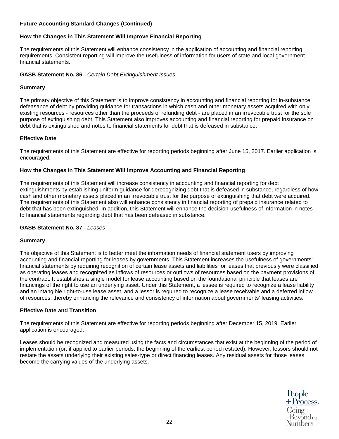# **How the Changes in This Statement Will Improve Financial Reporting**

The requirements of this Statement will enhance consistency in the application of accounting and financial reporting requirements. Consistent reporting will improve the usefulness of information for users of state and local government financial statements.

# **GASB Statement No. 86 -** *Certain Debt Extinguishment Issues*

# **Summary**

The primary objective of this Statement is to improve consistency in accounting and financial reporting for in-substance defeasance of debt by providing guidance for transactions in which cash and other monetary assets acquired with only existing resources - resources other than the proceeds of refunding debt - are placed in an irrevocable trust for the sole purpose of extinguishing debt. This Statement also improves accounting and financial reporting for prepaid insurance on debt that is extinguished and notes to financial statements for debt that is defeased in substance.

# **Effective Date**

The requirements of this Statement are effective for reporting periods beginning after June 15, 2017. Earlier application is encouraged.

### **How the Changes in This Statement Will Improve Accounting and Financial Reporting**

The requirements of this Statement will increase consistency in accounting and financial reporting for debt extinguishments by establishing uniform guidance for derecognizing debt that is defeased in substance, regardless of how cash and other monetary assets placed in an irrevocable trust for the purpose of extinguishing that debt were acquired. The requirements of this Statement also will enhance consistency in financial reporting of prepaid insurance related to debt that has been extinguished. In addition, this Statement will enhance the decision-usefulness of information in notes to financial statements regarding debt that has been defeased in substance.

#### **GASB Statement No. 87 -** *Leases*

#### **Summary**

The objective of this Statement is to better meet the information needs of financial statement users by improving accounting and financial reporting for leases by governments. This Statement increases the usefulness of governments' financial statements by requiring recognition of certain lease assets and liabilities for leases that previously were classified as operating leases and recognized as inflows of resources or outflows of resources based on the payment provisions of the contract. It establishes a single model for lease accounting based on the foundational principle that leases are financings of the right to use an underlying asset. Under this Statement, a lessee is required to recognize a lease liability and an intangible right-to-use lease asset, and a lessor is required to recognize a lease receivable and a deferred inflow of resources, thereby enhancing the relevance and consistency of information about governments' leasing activities.

# **Effective Date and Transition**

The requirements of this Statement are effective for reporting periods beginning after December 15, 2019. Earlier application is encouraged.

Leases should be recognized and measured using the facts and circumstances that exist at the beginning of the period of implementation (or, if applied to earlier periods, the beginning of the earliest period restated). However, lessors should not restate the assets underlying their existing sales-type or direct financing leases. Any residual assets for those leases become the carrying values of the underlying assets.